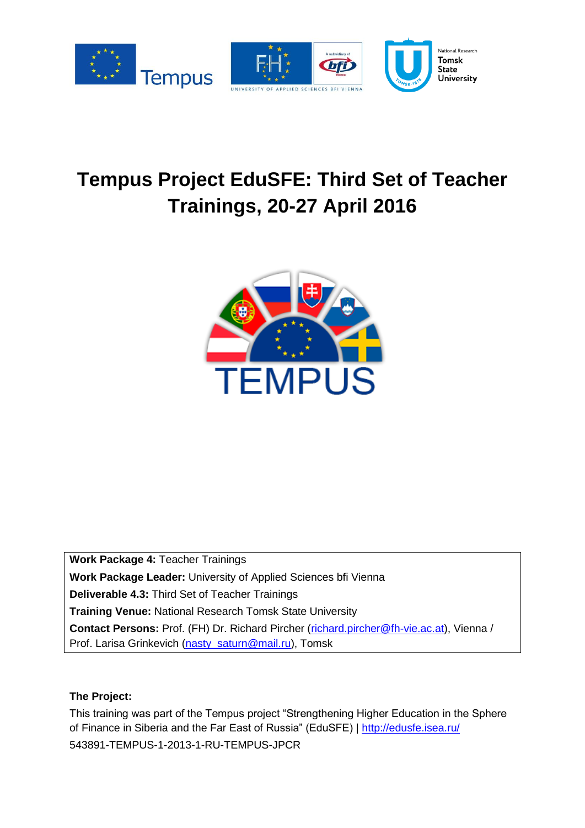

# **Tempus Project EduSFE: Third Set of Teacher Trainings, 20-27 April 2016**



**Work Package 4:** Teacher Trainings **Work Package Leader:** University of Applied Sciences bfi Vienna **Deliverable 4.3:** Third Set of Teacher Trainings **Training Venue:** National Research Tomsk State University **Contact Persons:** Prof. (FH) Dr. Richard Pircher [\(richard.pircher@fh-vie.ac.at\)](mailto:richard.pircher@fh-vie.ac.at), Vienna / Prof. Larisa Grinkevich [\(nasty\\_saturn@mail.ru\)](mailto:nasty_saturn@mail.ru), Tomsk

### **The Project:**

This training was part of the Tempus project "Strengthening Higher Education in the Sphere of Finance in Siberia and the Far East of Russia" (EduSFE) |<http://edusfe.isea.ru/> 543891-TEMPUS-1-2013-1-RU-TEMPUS-JPCR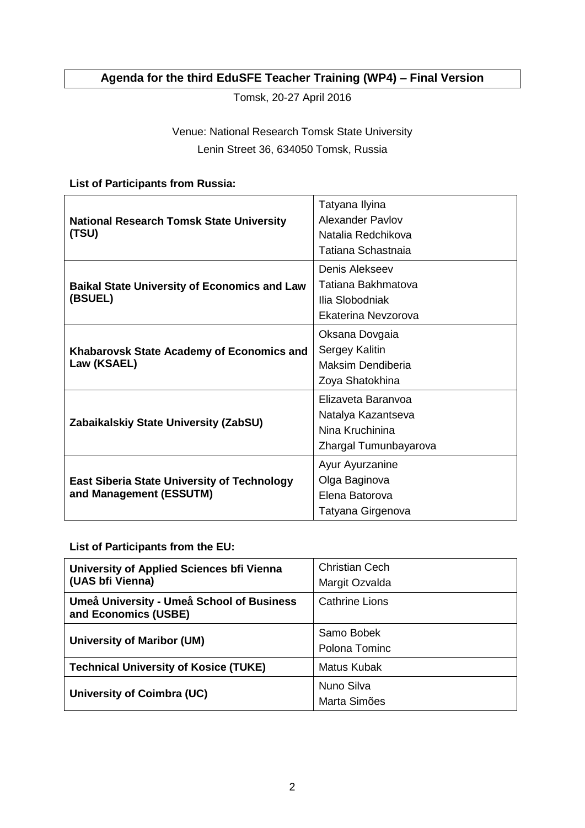# **Agenda for the third EduSFE Teacher Training (WP4) – Final Version**

Tomsk, 20-27 April 2016

# Venue: National Research Tomsk State University Lenin Street 36, 634050 Tomsk, Russia

## **List of Participants from Russia:**

| <b>National Research Tomsk State University</b><br>(TSU)                      | Tatyana Ilyina<br><b>Alexander Pavlov</b><br>Natalia Redchikova<br>Tatiana Schastnaia |
|-------------------------------------------------------------------------------|---------------------------------------------------------------------------------------|
| <b>Baikal State University of Economics and Law</b><br>(BSUEL)                | Denis Alekseev<br>Tatiana Bakhmatova<br>Ilia Slobodniak<br>Ekaterina Nevzorova        |
| Khabarovsk State Academy of Economics and<br>Law (KSAEL)                      | Oksana Dovgaia<br>Sergey Kalitin<br>Maksim Dendiberia<br>Zoya Shatokhina              |
| Zabaikalskiy State University (ZabSU)                                         | Elizaveta Baranyoa<br>Natalya Kazantseva<br>Nina Kruchinina<br>Zhargal Tumunbayarova  |
| <b>East Siberia State University of Technology</b><br>and Management (ESSUTM) | Ayur Ayurzanine<br>Olga Baginova<br>Elena Batorova<br>Tatyana Girgenova               |

**List of Participants from the EU:** 

| University of Applied Sciences bfi Vienna<br>(UAS bfi Vienna)     | <b>Christian Cech</b><br>Margit Ozvalda |
|-------------------------------------------------------------------|-----------------------------------------|
| Umeå University - Umeå School of Business<br>and Economics (USBE) | <b>Cathrine Lions</b>                   |
| <b>University of Maribor (UM)</b>                                 | Samo Bobek<br>Polona Tominc             |
| <b>Technical University of Kosice (TUKE)</b>                      | Matus Kubak                             |
| University of Coimbra (UC)                                        | Nuno Silva<br>Marta Simões              |